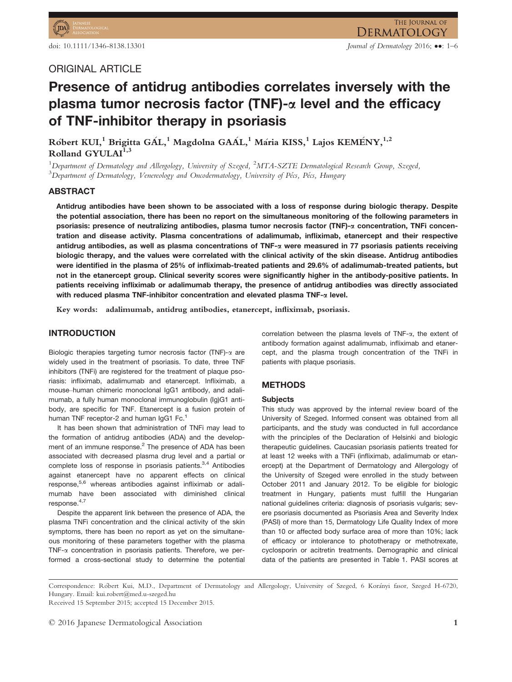# Presence of antidrug antibodies correlates inversely with the plasma tumor necrosis factor (TNF)- $\alpha$  level and the efficacy of TNF-inhibitor therapy in psoriasis

Róbert KUI,<sup>1</sup> Brigitta GÁL,<sup>1</sup> Magdolna GAÁL,<sup>1</sup> Mária KISS,<sup>1</sup> Lajos KEMÉNY,<sup>1,2</sup> Rolland GYULAI<sup>1,</sup>

<sup>1</sup>Department of Dermatology and Allergology, University of Szeged, <sup>2</sup>MTA-SZTE Dermatological Research Group, Szeged,<br><sup>3</sup>Department of Dermatology, Venergology and Qucodermatology, University of Pécs, Pécs, Hungary  $^3$ Department of Dermatology, Venereology and Oncodermatology, University of Pécs, Pécs, Hungary

# ABSTRACT

Antidrug antibodies have been shown to be associated with a loss of response during biologic therapy. Despite the potential association, there has been no report on the simultaneous monitoring of the following parameters in psoriasis: presence of neutralizing antibodies, plasma tumor necrosis factor (TNF)-a concentration, TNFi concentration and disease activity. Plasma concentrations of adalimumab, infliximab, etanercept and their respective antidrug antibodies, as well as plasma concentrations of TNF- $\alpha$  were measured in 77 psoriasis patients receiving biologic therapy, and the values were correlated with the clinical activity of the skin disease. Antidrug antibodies were identified in the plasma of 25% of infliximab-treated patients and 29.6% of adalimumab-treated patients, but not in the etanercept group. Clinical severity scores were significantly higher in the antibody-positive patients. In patients receiving infliximab or adalimumab therapy, the presence of antidrug antibodies was directly associated with reduced plasma TNF-inhibitor concentration and elevated plasma TNF- $\alpha$  level.

Key words: adalimumab, antidrug antibodies, etanercept, infliximab, psoriasis.

# INTRODUCTION

Biologic therapies targeting tumor necrosis factor (TNF)- $\alpha$  are widely used in the treatment of psoriasis. To date, three TNF inhibitors (TNFi) are registered for the treatment of plaque psoriasis: infliximab, adalimumab and etanercept. Infliximab, a mouse–human chimeric monoclonal IgG1 antibody, and adalimumab, a fully human monoclonal immunoglobulin (Ig)G1 antibody, are specific for TNF. Etanercept is a fusion protein of human TNF receptor-2 and human IgG1 Fc.<sup>1</sup>

It has been shown that administration of TNFi may lead to the formation of antidrug antibodies (ADA) and the development of an immune response.<sup>2</sup> The presence of ADA has been associated with decreased plasma drug level and a partial or complete loss of response in psoriasis patients. $3,4$  Antibodies against etanercept have no apparent effects on clinical response,<sup>5,6</sup> whereas antibodies against infliximab or adalimumab have been associated with diminished clinical response.<sup>4,7</sup>

Despite the apparent link between the presence of ADA, the plasma TNFi concentration and the clinical activity of the skin symptoms, there has been no report as yet on the simultaneous monitoring of these parameters together with the plasma TNF- $\alpha$  concentration in psoriasis patients. Therefore, we performed a cross-sectional study to determine the potential correlation between the plasma levels of TNF-a, the extent of antibody formation against adalimumab, infliximab and etanercept, and the plasma trough concentration of the TNFi in patients with plaque psoriasis.

## METHODS

#### **Subjects**

This study was approved by the internal review board of the University of Szeged. Informed consent was obtained from all participants, and the study was conducted in full accordance with the principles of the Declaration of Helsinki and biologic therapeutic guidelines. Caucasian psoriasis patients treated for at least 12 weeks with a TNFi (infliximab, adalimumab or etanercept) at the Department of Dermatology and Allergology of the University of Szeged were enrolled in the study between October 2011 and January 2012. To be eligible for biologic treatment in Hungary, patients must fulfill the Hungarian national guidelines criteria: diagnosis of psoriasis vulgaris; severe psoriasis documented as Psoriasis Area and Severity Index (PASI) of more than 15, Dermatology Life Quality Index of more than 10 or affected body surface area of more than 10%; lack of efficacy or intolerance to phototherapy or methotrexate, cyclosporin or acitretin treatments. Demographic and clinical data of the patients are presented in Table 1. PASI scores at

Correspondence: Robert Kui, M.D., Department of Dermatology and Allergology, University of Szeged, 6 Korányi fasor, Szeged H-6720, Hungary. Email: kui.robert@med.u-szeged.hu

Received 15 September 2015; accepted 15 December 2015.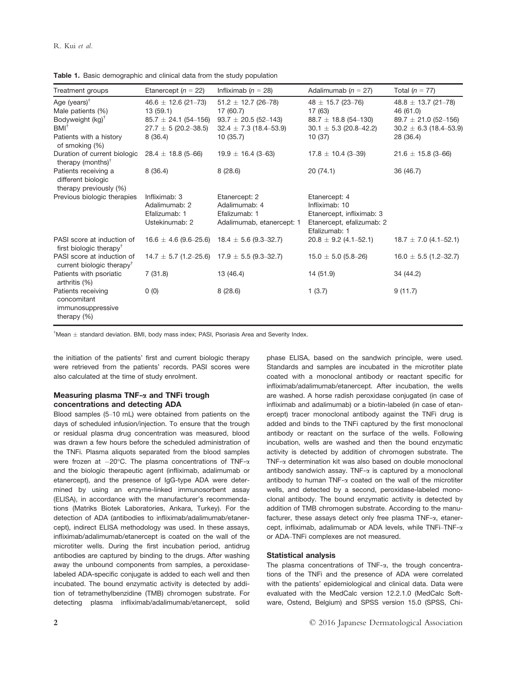| Treatment groups                                                                | Etanercept ( $n = 22$ )                                           | Infliximab ( $n = 28$ )                                                      | Adalimumab ( $n = 27$ )                                                                                    | Total $(n = 77)$                                                 |
|---------------------------------------------------------------------------------|-------------------------------------------------------------------|------------------------------------------------------------------------------|------------------------------------------------------------------------------------------------------------|------------------------------------------------------------------|
| Age (years) $^{\dagger}$<br>Male patients (%)<br>Bodyweight (kg) <sup>†</sup>   | $46.6 \pm 12.6$ (21-73)<br>13(59.1)<br>$85.7 \pm 24.1$ (54-156)   | $51.2 \pm 12.7$ (26-78)<br>17 (60.7)<br>$93.7 \pm 20.5$ (52-143)             | $48 \pm 15.7$ (23-76)<br>17 (63)<br>$88.7 \pm 18.8$ (54-130)                                               | $48.8 \pm 13.7$ (21-78)<br>46 (61.0)<br>$89.7 \pm 21.0$ (52-156) |
| $BMI^{\dagger}$<br>Patients with a history                                      | $27.7 \pm 5(20.2 - 38.5)$<br>8(36.4)                              | $32.4 \pm 7.3$ (18.4–53.9)<br>10(35.7)                                       | $30.1 \pm 5.3$ (20.8-42.2)<br>10(37)                                                                       | $30.2 \pm 6.3$ (18.4-53.9)<br>28 (36.4)                          |
| of smoking (%)<br>Duration of current biologic<br>therapy (months) <sup>†</sup> | $28.4 \pm 18.8$ (5-66)                                            | $19.9 \pm 16.4$ (3-63)                                                       | $17.8 \pm 10.4$ (3-39)                                                                                     | $21.6 \pm 15.8$ (3-66)                                           |
| Patients receiving a<br>different biologic<br>therapy previously (%)            | 8(36.4)                                                           | 8(28.6)                                                                      | 20(74.1)                                                                                                   | 36 (46.7)                                                        |
| Previous biologic therapies                                                     | Infliximab: 3<br>Adalimumab: 2<br>Efalizumab: 1<br>Ustekinumab: 2 | Etanercept: 2<br>Adalimumab: 4<br>Efalizumab: 1<br>Adalimumab, etanercept: 1 | Etanercept: 4<br>Infliximab: 10<br>Etanercept, infliximab: 3<br>Etanercept, efalizumab: 2<br>Efalizumab: 1 |                                                                  |
| PASI score at induction of<br>first biologic therapy <sup>†</sup>               | $16.6 \pm 4.6$ (9.6–25.6) 18.4 $\pm$ 5.6 (9.3–32.7)               |                                                                              | $20.8 \pm 9.2$ (4.1–52.1)                                                                                  | $18.7 \pm 7.0$ (4.1–52.1)                                        |
| PASI score at induction of<br>current biologic therapy <sup>†</sup>             | $14.7 \pm 5.7$ (1.2–25.6) 17.9 $\pm$ 5.5 (9.3–32.7)               |                                                                              | $15.0 \pm 5.0$ (5.8–26)                                                                                    | $16.0 \pm 5.5$ (1.2-32.7)                                        |
| Patients with psoriatic<br>arthritis (%)                                        | 7(31.8)                                                           | 13 (46.4)                                                                    | 14 (51.9)                                                                                                  | 34 (44.2)                                                        |
| Patients receiving<br>concomitant<br>immunosuppressive<br>therapy $(\%)$        | 0(0)                                                              | 8(28.6)                                                                      | 1(3.7)                                                                                                     | 9(11.7)                                                          |

Table 1. Basic demographic and clinical data from the study population

 $^{\dagger}$ Mean  $\pm$  standard deviation. BMI, body mass index; PASI, Psoriasis Area and Severity Index.

the initiation of the patients' first and current biologic therapy were retrieved from the patients' records. PASI scores were also calculated at the time of study enrolment.

## Measuring plasma TNF- $\alpha$  and TNFi trough concentrations and detecting ADA

Blood samples (5–10 mL) were obtained from patients on the days of scheduled infusion/injection. To ensure that the trough or residual plasma drug concentration was measured, blood was drawn a few hours before the scheduled administration of the TNFi. Plasma aliquots separated from the blood samples were frozen at  $-20^{\circ}$ C. The plasma concentrations of TNF- $\alpha$ and the biologic therapeutic agent (infliximab, adalimumab or etanercept), and the presence of IgG-type ADA were determined by using an enzyme-linked immunosorbent assay (ELISA), in accordance with the manufacturer's recommendations (Matriks Biotek Laboratories, Ankara, Turkey). For the detection of ADA (antibodies to infliximab/adalimumab/etanercept), indirect ELISA methodology was used. In these assays, infliximab/adalimumab/etanercept is coated on the wall of the microtiter wells. During the first incubation period, antidrug antibodies are captured by binding to the drugs. After washing away the unbound components from samples, a peroxidaselabeled ADA-specific conjugate is added to each well and then incubated. The bound enzymatic activity is detected by addition of tetramethylbenzidine (TMB) chromogen substrate. For detecting plasma infliximab/adalimumab/etanercept, solid phase ELISA, based on the sandwich principle, were used. Standards and samples are incubated in the microtiter plate coated with a monoclonal antibody or reactant specific for infliximab/adalimumab/etanercept. After incubation, the wells are washed. A horse radish peroxidase conjugated (in case of infliximab and adalimumab) or a biotin-labeled (in case of etanercept) tracer monoclonal antibody against the TNFi drug is added and binds to the TNFi captured by the first monoclonal antibody or reactant on the surface of the wells. Following incubation, wells are washed and then the bound enzymatic activity is detected by addition of chromogen substrate. The TNF-a determination kit was also based on double monoclonal antibody sandwich assay. TNF- $\alpha$  is captured by a monoclonal antibody to human TNF- $\alpha$  coated on the wall of the microtiter wells, and detected by a second, peroxidase-labeled monoclonal antibody. The bound enzymatic activity is detected by addition of TMB chromogen substrate. According to the manufacturer, these assays detect only free plasma  $TNF-\alpha$ , etanercept, infliximab, adalimumab or ADA levels, while TNFi–TNF-a or ADA–TNFi complexes are not measured.

#### Statistical analysis

The plasma concentrations of TNF- $\alpha$ , the trough concentrations of the TNFi and the presence of ADA were correlated with the patients' epidemiological and clinical data. Data were evaluated with the MedCalc version 12.2.1.0 (MedCalc Software, Ostend, Belgium) and SPSS version 15.0 (SPSS, Chi-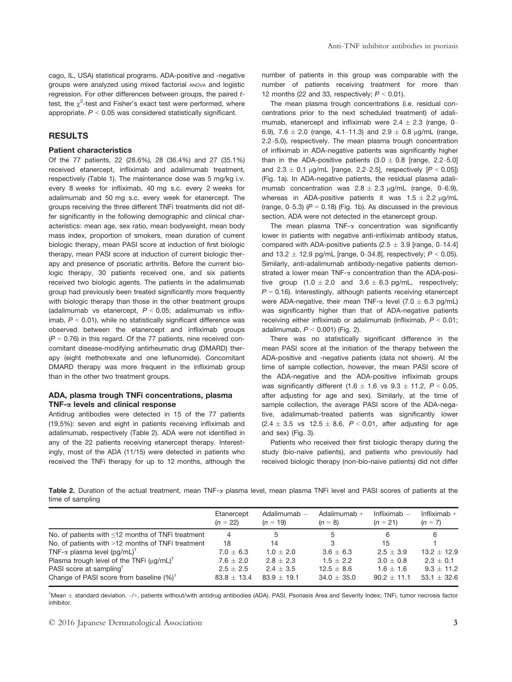cago, IL, USA) statistical programs. ADA-positive and -negative groups were analyzed using mixed factorial ANOVA and logistic regression. For other differences between groups, the paired ttest, the  $\chi^2$ -test and Fisher's exact test were performed, where appropriate.  $P < 0.05$  was considered statistically significant.

## RESULTS

#### Patient characteristics

Of the 77 patients, 22 (28.6%), 28 (36.4%) and 27 (35.1%) received etanercept, infliximab and adalimumab treatment, respectively (Table 1). The maintenance dose was 5 mg/kg i.v. every 8 weeks for infliximab, 40 mg s.c. every 2 weeks for adalimumab and 50 mg s.c. every week for etanercept. The groups receiving the three different TNFi treatments did not differ significantly in the following demographic and clinical characteristics: mean age, sex ratio, mean bodyweight, mean body mass index, proportion of smokers, mean duration of current biologic therapy, mean PASI score at induction of first biologic therapy, mean PASI score at induction of current biologic therapy and presence of psoriatic arthritis. Before the current biologic therapy, 30 patients received one, and six patients received two biologic agents. The patients in the adalimumab group had previously been treated significantly more frequently with biologic therapy than those in the other treatment groups (adalimumab vs etanercept,  $P < 0.05$ ; adalimumab vs infliximab,  $P < 0.01$ ), while no statistically significant difference was observed between the etanercept and infliximab groups  $(P = 0.76)$  in this regard. Of the 77 patients, nine received concomitant disease-modifying antirheumatic drug (DMARD) therapy (eight methotrexate and one leflunomide). Concomitant DMARD therapy was more frequent in the infliximab group than in the other two treatment groups.

#### ADA, plasma trough TNFi concentrations, plasma TNF- $\alpha$  levels and clinical response

Antidrug antibodies were detected in 15 of the 77 patients (19.5%): seven and eight in patients receiving infliximab and adalimumab, respectively (Table 2). ADA were not identified in any of the 22 patients receiving etanercept therapy. Interestingly, most of the ADA (11/15) were detected in patients who received the TNFi therapy for up to 12 months, although the

number of patients in this group was comparable with the number of patients receiving treatment for more than 12 months (22 and 33, respectively;  $P < 0.01$ ).

The mean plasma trough concentrations (i.e. residual concentrations prior to the next scheduled treatment) of adalimumab, etanercept and infliximab were  $2.4 \pm 2.3$  (range, 0– 6.9), 7.6  $\pm$  2.0 (range, 4.1–11.3) and 2.9  $\pm$  0.8  $\mu$ g/mL (range, 2.2–5.0), respectively. The mean plasma trough concentration of infliximab in ADA-negative patients was significantly higher than in the ADA-positive patients  $(3.0 \pm 0.8)$  [range, 2.2–5.0] and  $2.3 \pm 0.1$  µg/mL [range, 2.2–2.5], respectively  $[P < 0.05]$ ] (Fig. 1a). In ADA-negative patients, the residual plasma adalimumab concentration was  $2.8 \pm 2.3$  µg/mL (range, 0–6.9), whereas in ADA-positive patients it was  $1.5 \pm 2.2$   $\mu$ g/mL (range,  $0-5.3$ ) ( $P = 0.18$ ) (Fig. 1b). As discussed in the previous section, ADA were not detected in the etanercept group.

The mean plasma  $TNF-\alpha$  concentration was significantly lower in patients with negative anti-infliximab antibody status, compared with ADA-positive patients  $(2.5 \pm 3.9)$  [range, 0–14.4] and 13.2  $\pm$  12.9 pg/mL [range, 0-34.8], respectively;  $P < 0.05$ ). Similarly, anti-adalimumab antibody-negative patients demonstrated a lower mean TNF- $\alpha$  concentration than the ADA-positive group  $(1.0 \pm 2.0 \text{ and } 3.6 \pm 6.3 \text{ pg/mL}$ , respectively;  $P = 0.16$ ). Interestingly, although patients receiving etanercept were ADA-negative, their mean TNF- $\alpha$  level (7.0  $\pm$  6.3 pg/mL) was significantly higher than that of ADA-negative patients receiving either infliximab or adalimumab (infliximab,  $P < 0.01$ ; adalimumab,  $P < 0.001$ ) (Fig. 2).

There was no statistically significant difference in the mean PASI score at the initiation of the therapy between the ADA-positive and -negative patients (data not shown). At the time of sample collection, however, the mean PASI score of the ADA-negative and the ADA-positive infliximab groups was significantly different (1.6  $\pm$  1.6 vs 9.3  $\pm$  11.2, P < 0.05, after adjusting for age and sex). Similarly, at the time of sample collection, the average PASI score of the ADA-negative, adalimumab-treated patients was significantly lower  $(2.4 \pm 3.5 \text{ vs } 12.5 \pm 8.6, P < 0.01,$  after adjusting for age and sex) (Fig. 3).

Patients who received their first biologic therapy during the study (bio-naive patients), and patients who previously had received biologic therapy (non-bio-naive patients) did not differ

Table 2. Duration of the actual treatment, mean TNF- $\alpha$  plasma level, mean plasma TNFi level and PASI scores of patients at the time of sampling

|                                                         | Etanercept<br>$(n = 22)$ | Adalimumab -<br>$(n = 19)$ | Adalimumab $+$<br>$(n = 8)$ | Infliximab $-$<br>$(n = 21)$ | Infliximab $+$<br>$(n = 7)$ |
|---------------------------------------------------------|--------------------------|----------------------------|-----------------------------|------------------------------|-----------------------------|
| No. of patients with $\leq 12$ months of TNFi treatment | 4                        | 5                          | 5                           | 6                            | 6                           |
| No. of patients with >12 months of TNFi treatment       | 18                       | 14                         | 3                           | 15                           |                             |
| TNF- $\alpha$ plasma level (pg/mL) <sup>†</sup>         | $7.0 \pm 6.3$            | $1.0 + 2.0$                | $3.6 + 6.3$                 | $2.5 + 3.9$                  | $13.2 + 12.9$               |
| Plasma trough level of the TNFi $(\mu q/mL)^{\dagger}$  | $7.6 \pm 2.0$            | $2.8 \pm 2.3$              | $1.5 \pm 2.2$               | $3.0 \pm 0.8$                | $2.3 \pm 0.1$               |
| PASI score at sampling <sup>T</sup>                     | $2.5 + 2.5$              | $2.4 + 3.5$                | $12.5 + 8.6$                | $1.6 + 1.6$                  | $9.3 \pm 11.2$              |
| Change of PASI score from baseline $(\%)^{\dagger}$     | $83.8 + 13.4$            | $83.9 + 19.1$              | $34.0 \pm 35.0$             | $90.2 + 11.1$                | 53.1 $\pm$ 32.6             |

<sup>†</sup>Mean ± standard deviation. –/+, patients without/with antidrug antibodies (ADA). PASI, Psoriasis Area and Severity Index; TNFi, tumor necrosis factor inhibitor.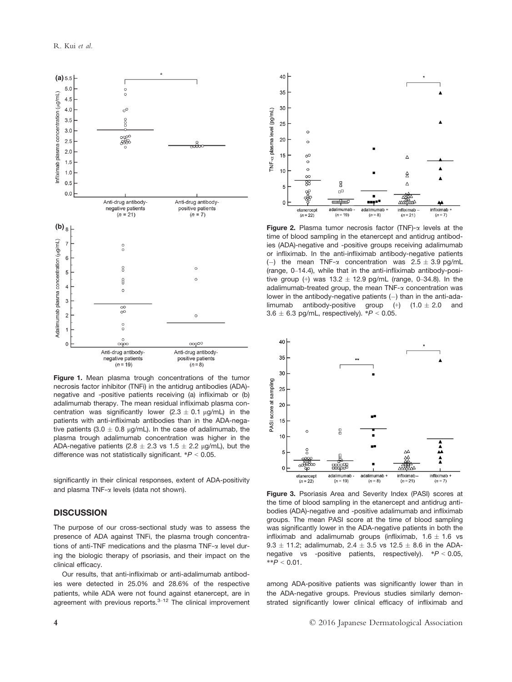

Figure 1. Mean plasma trough concentrations of the tumor necrosis factor inhibitor (TNFi) in the antidrug antibodies (ADA) negative and -positive patients receiving (a) infliximab or (b) adalimumab therapy. The mean residual infliximab plasma concentration was significantly lower  $(2.3 \pm 0.1 \,\mu\text{g/mL})$  in the patients with anti-infliximab antibodies than in the ADA-negative patients (3.0  $\pm$  0.8 µg/mL). In the case of adalimumab, the plasma trough adalimumab concentration was higher in the ADA-negative patients (2.8  $\pm$  2.3 vs 1.5  $\pm$  2.2 µg/mL), but the difference was not statistically significant.  $*P < 0.05$ .

significantly in their clinical responses, extent of ADA-positivity and plasma TNF- $\alpha$  levels (data not shown).

## **DISCUSSION**

The purpose of our cross-sectional study was to assess the presence of ADA against TNFi, the plasma trough concentrations of anti-TNF medications and the plasma TNF-a level during the biologic therapy of psoriasis, and their impact on the clinical efficacy.

Our results, that anti-infliximab or anti-adalimumab antibodies were detected in 25.0% and 28.6% of the respective patients, while ADA were not found against etanercept, are in agreement with previous reports. $3-12$  The clinical improvement



Figure 2. Plasma tumor necrosis factor (TNF)- $\alpha$  levels at the time of blood sampling in the etanercept and antidrug antibodies (ADA)-negative and -positive groups receiving adalimumab or infliximab. In the anti-infliximab antibody-negative patients (-) the mean TNF- $\alpha$  concentration was 2.5  $\pm$  3.9 pg/mL (range, 0–14.4), while that in the anti-infliximab antibody-positive group (+) was  $13.2 \pm 12.9$  pg/mL (range, 0-34.8). In the adalimumab-treated group, the mean  $TNF-\alpha$  concentration was lower in the antibody-negative patients  $(-)$  than in the anti-ada-<br>limumab antibody-positive group  $(+)$   $(10 + 20)$  and limumab antibody-positive group  $(+)$   $(1.0 \pm 2.0$  $3.6 \pm 6.3$  pg/mL, respectively). \* $P < 0.05$ .



Figure 3. Psoriasis Area and Severity Index (PASI) scores at the time of blood sampling in the etanercept and antidrug antibodies (ADA)-negative and -positive adalimumab and infliximab groups. The mean PASI score at the time of blood sampling was significantly lower in the ADA-negative patients in both the infliximab and adalimumab groups (infliximab,  $1.6 \pm 1.6$  vs 9.3  $\pm$  11.2; adalimumab, 2.4  $\pm$  3.5 vs 12.5  $\pm$  8.6 in the ADAnegative vs -positive patients, respectively).  $*P < 0.05$ ,  $*^{*}P < 0.01$ .

among ADA-positive patients was significantly lower than in the ADA-negative groups. Previous studies similarly demonstrated significantly lower clinical efficacy of infliximab and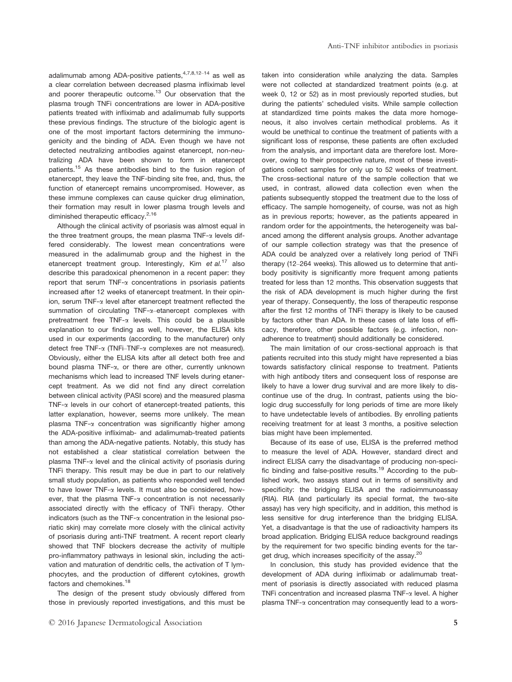adalimumab among ADA-positive patients,  $4,7,8,12-14$  as well as a clear correlation between decreased plasma infliximab level and poorer therapeutic outcome.<sup>13</sup> Our observation that the plasma trough TNFi concentrations are lower in ADA-positive patients treated with infliximab and adalimumab fully supports these previous findings. The structure of the biologic agent is one of the most important factors determining the immunogenicity and the binding of ADA. Even though we have not detected neutralizing antibodies against etanercept, non-neutralizing ADA have been shown to form in etanercept patients.15 As these antibodies bind to the fusion region of etanercept, they leave the TNF-binding site free, and, thus, the function of etanercept remains uncompromised. However, as these immune complexes can cause quicker drug elimination, their formation may result in lower plasma trough levels and diminished therapeutic efficacy.<sup>2,16</sup>

Although the clinical activity of psoriasis was almost equal in the three treatment groups, the mean plasma  $TNF-\alpha$  levels differed considerably. The lowest mean concentrations were measured in the adalimumab group and the highest in the etanercept treatment group. Interestingly, Kim et  $al.^{17}$  also describe this paradoxical phenomenon in a recent paper: they report that serum TNF- $\alpha$  concentrations in psoriasis patients increased after 12 weeks of etanercept treatment. In their opinion, serum TNF-a level after etanercept treatment reflected the summation of circulating TNF-a-etanercept complexes with pretreatment free TNF-a levels. This could be a plausible explanation to our finding as well, however, the ELISA kits used in our experiments (according to the manufacturer) only detect free TNF-a (TNFi–TNF-a complexes are not measured). Obviously, either the ELISA kits after all detect both free and bound plasma TNF-a, or there are other, currently unknown mechanisms which lead to increased TNF levels during etanercept treatment. As we did not find any direct correlation between clinical activity (PASI score) and the measured plasma TNF- $\alpha$  levels in our cohort of etanercept-treated patients, this latter explanation, however, seems more unlikely. The mean plasma TNF-a concentration was significantly higher among the ADA-positive infliximab- and adalimumab-treated patients than among the ADA-negative patients. Notably, this study has not established a clear statistical correlation between the plasma TNF- $\alpha$  level and the clinical activity of psoriasis during TNFi therapy. This result may be due in part to our relatively small study population, as patients who responded well tended to have lower TNF-a levels. It must also be considered, however, that the plasma TNF-a concentration is not necessarily associated directly with the efficacy of TNFi therapy. Other indicators (such as the TNF-a concentration in the lesional psoriatic skin) may correlate more closely with the clinical activity of psoriasis during anti-TNF treatment. A recent report clearly showed that TNF blockers decrease the activity of multiple pro-inflammatory pathways in lesional skin, including the activation and maturation of dendritic cells, the activation of T lymphocytes, and the production of different cytokines, growth factors and chemokines.<sup>18</sup>

The design of the present study obviously differed from those in previously reported investigations, and this must be taken into consideration while analyzing the data. Samples were not collected at standardized treatment points (e.g. at week 0, 12 or 52) as in most previously reported studies, but during the patients' scheduled visits. While sample collection at standardized time points makes the data more homogeneous, it also involves certain methodical problems. As it would be unethical to continue the treatment of patients with a significant loss of response, these patients are often excluded from the analysis, and important data are therefore lost. Moreover, owing to their prospective nature, most of these investigations collect samples for only up to 52 weeks of treatment. The cross-sectional nature of the sample collection that we used, in contrast, allowed data collection even when the patients subsequently stopped the treatment due to the loss of efficacy. The sample homogeneity, of course, was not as high as in previous reports; however, as the patients appeared in random order for the appointments, the heterogeneity was balanced among the different analysis groups. Another advantage of our sample collection strategy was that the presence of ADA could be analyzed over a relatively long period of TNFi therapy (12–264 weeks). This allowed us to determine that antibody positivity is significantly more frequent among patients treated for less than 12 months. This observation suggests that the risk of ADA development is much higher during the first year of therapy. Consequently, the loss of therapeutic response after the first 12 months of TNFi therapy is likely to be caused by factors other than ADA. In these cases of late loss of efficacy, therefore, other possible factors (e.g. infection, nonadherence to treatment) should additionally be considered.

The main limitation of our cross-sectional approach is that patients recruited into this study might have represented a bias towards satisfactory clinical response to treatment. Patients with high antibody titers and consequent loss of response are likely to have a lower drug survival and are more likely to discontinue use of the drug. In contrast, patients using the biologic drug successfully for long periods of time are more likely to have undetectable levels of antibodies. By enrolling patients receiving treatment for at least 3 months, a positive selection bias might have been implemented.

Because of its ease of use, ELISA is the preferred method to measure the level of ADA. However, standard direct and indirect ELISA carry the disadvantage of producing non-specific binding and false-positive results.<sup>19</sup> According to the published work, two assays stand out in terms of sensitivity and specificity: the bridging ELISA and the radioimmunoassay (RIA). RIA (and particularly its special format, the two-site assay) has very high specificity, and in addition, this method is less sensitive for drug interference than the bridging ELISA. Yet, a disadvantage is that the use of radioactivity hampers its broad application. Bridging ELISA reduce background readings by the requirement for two specific binding events for the target drug, which increases specificity of the assay.<sup>20</sup>

In conclusion, this study has provided evidence that the development of ADA during infliximab or adalimumab treatment of psoriasis is directly associated with reduced plasma TNFi concentration and increased plasma TNF- $\alpha$  level. A higher plasma TNF-a concentration may consequently lead to a wors